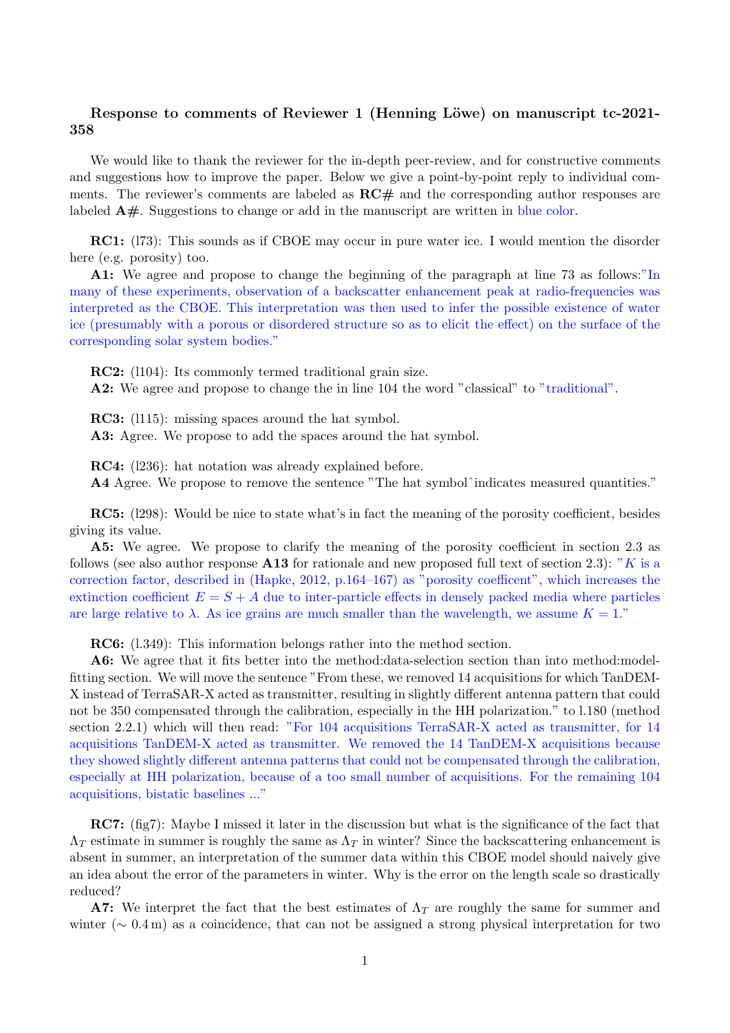## Response to comments of Reviewer 1 (Henning Löwe) on manuscript tc-2021-358

We would like to thank the reviewer for the in-depth peer-review, and for constructive comments and suggestions how to improve the paper. Below we give a point-by-point reply to individual comments. The reviewer's comments are labeled as  $\mathrm{RC}\#$  and the corresponding author responses are labeled  $A#$ . Suggestions to change or add in the manuscript are written in blue color.

RC1: (173): This sounds as if CBOE may occur in pure water ice. I would mention the disorder here (e.g. porosity) too.

A1: We agree and propose to change the beginning of the paragraph at line 73 as follows:"In many of these experiments, observation of a backscatter enhancement peak at radio-frequencies was interpreted as the CBOE. This interpretation was then used to infer the possible existence of water ice (presumably with a porous or disordered structure so as to elicit the effect) on the surface of the corresponding solar system bodies."

RC2: (l104): Its commonly termed traditional grain size. A2: We agree and propose to change the in line 104 the word "classical" to "traditional".

RC3: (l115): missing spaces around the hat symbol. A3: Agree. We propose to add the spaces around the hat symbol.

RC4: (l236): hat notation was already explained before.

A4 Agree. We propose to remove the sentence "The hat symbol^indicates measured quantities."

RC5: (l298): Would be nice to state what's in fact the meaning of the porosity coefficient, besides giving its value.

A5: We agree. We propose to clarify the meaning of the porosity coefficient in section 2.3 as follows (see also author response **A13** for rationale and new proposed full text of section 2.3): "K is a correction factor, described in (Hapke, 2012, p.164–167) as "porosity coefficent", which increases the extinction coefficient  $E = S + A$  due to inter-particle effects in densely packed media where particles are large relative to  $\lambda$ . As ice grains are much smaller than the wavelength, we assume  $K = 1$ ."

RC6: (l.349): This information belongs rather into the method section.

A6: We agree that it fits better into the method:data-selection section than into method:modelfitting section. We will move the sentence "From these, we removed 14 acquisitions for which TanDEM-X instead of TerraSAR-X acted as transmitter, resulting in slightly different antenna pattern that could not be 350 compensated through the calibration, especially in the HH polarization." to l.180 (method section 2.2.1) which will then read: "For 104 acquisitions TerraSAR-X acted as transmitter, for 14 acquisitions TanDEM-X acted as transmitter. We removed the 14 TanDEM-X acquisitions because they showed slightly different antenna patterns that could not be compensated through the calibration, especially at HH polarization, because of a too small number of acquisitions. For the remaining 104 acquisitions, bistatic baselines ..."

RC7: (fig7): Maybe I missed it later in the discussion but what is the significance of the fact that  $\Lambda_T$  estimate in summer is roughly the same as  $\Lambda_T$  in winter? Since the backscattering enhancement is absent in summer, an interpretation of the summer data within this CBOE model should naively give an idea about the error of the parameters in winter. Why is the error on the length scale so drastically reduced?

A7: We interpret the fact that the best estimates of  $\Lambda_T$  are roughly the same for summer and winter ( $\sim 0.4$  m) as a coincidence, that can not be assigned a strong physical interpretation for two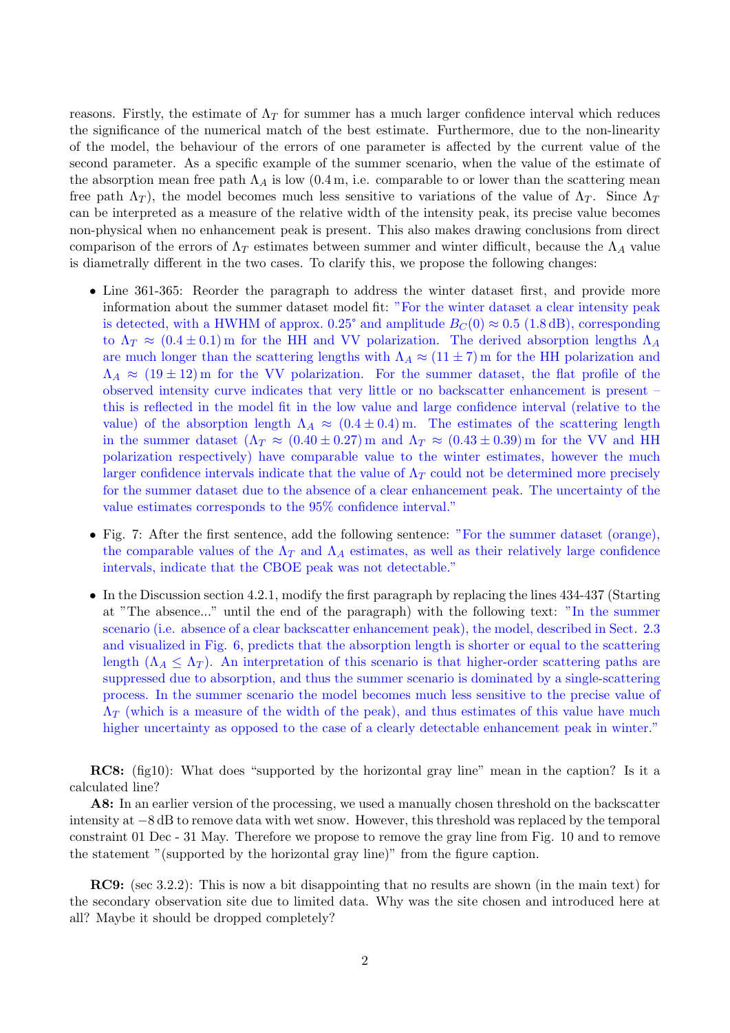reasons. Firstly, the estimate of  $\Lambda_T$  for summer has a much larger confidence interval which reduces the significance of the numerical match of the best estimate. Furthermore, due to the non-linearity of the model, the behaviour of the errors of one parameter is affected by the current value of the second parameter. As a specific example of the summer scenario, when the value of the estimate of the absorption mean free path  $\Lambda_A$  is low  $(0.4 \text{ m}, i.e.$  comparable to or lower than the scattering mean free path  $\Lambda_T$ ), the model becomes much less sensitive to variations of the value of  $\Lambda_T$ . Since  $\Lambda_T$ can be interpreted as a measure of the relative width of the intensity peak, its precise value becomes non-physical when no enhancement peak is present. This also makes drawing conclusions from direct comparison of the errors of  $\Lambda_T$  estimates between summer and winter difficult, because the  $\Lambda_A$  value is diametrally different in the two cases. To clarify this, we propose the following changes:

- Line 361-365: Reorder the paragraph to address the winter dataset first, and provide more information about the summer dataset model fit: "For the winter dataset a clear intensity peak is detected, with a HWHM of approx. 0.25° and amplitude  $B_C(0) \approx 0.5$  (1.8 dB), corresponding to  $\Lambda_T \approx (0.4 \pm 0.1)$  m for the HH and VV polarization. The derived absorption lengths  $\Lambda_A$ are much longer than the scattering lengths with  $\Lambda_A \approx (11 \pm 7)$  m for the HH polarization and  $\Lambda_A \approx (19 \pm 12)$  m for the VV polarization. For the summer dataset, the flat profile of the observed intensity curve indicates that very little or no backscatter enhancement is present – this is reflected in the model fit in the low value and large confidence interval (relative to the value) of the absorption length  $\Lambda_A \approx (0.4 \pm 0.4)$  m. The estimates of the scattering length in the summer dataset  $(\Lambda_T \approx (0.40 \pm 0.27) \text{ m}$  and  $\Lambda_T \approx (0.43 \pm 0.39) \text{ m}$  for the VV and HH polarization respectively) have comparable value to the winter estimates, however the much larger confidence intervals indicate that the value of  $\Lambda_T$  could not be determined more precisely for the summer dataset due to the absence of a clear enhancement peak. The uncertainty of the value estimates corresponds to the 95% confidence interval."
- Fig. 7: After the first sentence, add the following sentence: "For the summer dataset (orange), the comparable values of the  $\Lambda_T$  and  $\Lambda_A$  estimates, as well as their relatively large confidence intervals, indicate that the CBOE peak was not detectable."
- In the Discussion section 4.2.1, modify the first paragraph by replacing the lines 434-437 (Starting at "The absence..." until the end of the paragraph) with the following text: "In the summer scenario (i.e. absence of a clear backscatter enhancement peak), the model, described in Sect. 2.3 and visualized in Fig. 6, predicts that the absorption length is shorter or equal to the scattering length  $(\Lambda_A \leq \Lambda_T)$ . An interpretation of this scenario is that higher-order scattering paths are suppressed due to absorption, and thus the summer scenario is dominated by a single-scattering process. In the summer scenario the model becomes much less sensitive to the precise value of  $\Lambda_T$  (which is a measure of the width of the peak), and thus estimates of this value have much higher uncertainty as opposed to the case of a clearly detectable enhancement peak in winter."

RC8: (fig10): What does "supported by the horizontal gray line" mean in the caption? Is it a calculated line?

A8: In an earlier version of the processing, we used a manually chosen threshold on the backscatter intensity at −8 dB to remove data with wet snow. However, this threshold was replaced by the temporal constraint 01 Dec - 31 May. Therefore we propose to remove the gray line from Fig. 10 and to remove the statement "(supported by the horizontal gray line)" from the figure caption.

RC9: (sec 3.2.2): This is now a bit disappointing that no results are shown (in the main text) for the secondary observation site due to limited data. Why was the site chosen and introduced here at all? Maybe it should be dropped completely?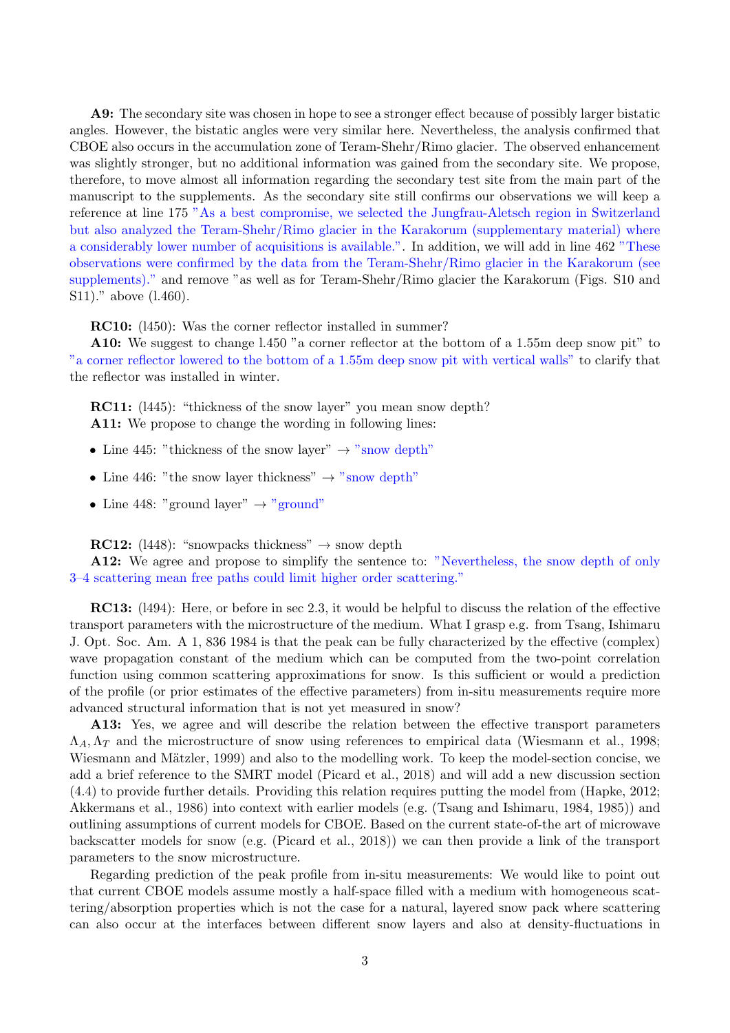A9: The secondary site was chosen in hope to see a stronger effect because of possibly larger bistatic angles. However, the bistatic angles were very similar here. Nevertheless, the analysis confirmed that CBOE also occurs in the accumulation zone of Teram-Shehr/Rimo glacier. The observed enhancement was slightly stronger, but no additional information was gained from the secondary site. We propose, therefore, to move almost all information regarding the secondary test site from the main part of the manuscript to the supplements. As the secondary site still confirms our observations we will keep a reference at line 175 "As a best compromise, we selected the Jungfrau-Aletsch region in Switzerland but also analyzed the Teram-Shehr/Rimo glacier in the Karakorum (supplementary material) where a considerably lower number of acquisitions is available.". In addition, we will add in line 462 "These observations were confirmed by the data from the Teram-Shehr/Rimo glacier in the Karakorum (see supplements)." and remove "as well as for Teram-Shehr/Rimo glacier the Karakorum (Figs. S10 and S11)." above (l.460).

RC10: (l450): Was the corner reflector installed in summer?

A10: We suggest to change 1.450 "a corner reflector at the bottom of a 1.55m deep snow pit" to "a corner reflector lowered to the bottom of a 1.55m deep snow pit with vertical walls" to clarify that the reflector was installed in winter.

RC11: (l445): "thickness of the snow layer" you mean snow depth? A11: We propose to change the wording in following lines:

- Line 445: "thickness of the snow layer"  $\rightarrow$  "snow depth"
- Line 446: "the snow layer thickness"  $\rightarrow$  "snow depth"
- Line 448: "ground layer"  $\rightarrow$  "ground"

RC12: (1448): "snowpacks thickness"  $\rightarrow$  snow depth

A12: We agree and propose to simplify the sentence to: "Nevertheless, the snow depth of only 3–4 scattering mean free paths could limit higher order scattering."

RC13: (l494): Here, or before in sec 2.3, it would be helpful to discuss the relation of the effective transport parameters with the microstructure of the medium. What I grasp e.g. from Tsang, Ishimaru J. Opt. Soc. Am. A 1, 836 1984 is that the peak can be fully characterized by the effective (complex) wave propagation constant of the medium which can be computed from the two-point correlation function using common scattering approximations for snow. Is this sufficient or would a prediction of the profile (or prior estimates of the effective parameters) from in-situ measurements require more advanced structural information that is not yet measured in snow?

A13: Yes, we agree and will describe the relation between the effective transport parameters  $\Lambda_A, \Lambda_T$  and the microstructure of snow using references to empirical data (Wiesmann et al., 1998; Wiesmann and Mätzler, 1999) and also to the modelling work. To keep the model-section concise, we add a brief reference to the SMRT model (Picard et al., 2018) and will add a new discussion section (4.4) to provide further details. Providing this relation requires putting the model from (Hapke, 2012; Akkermans et al., 1986) into context with earlier models (e.g. (Tsang and Ishimaru, 1984, 1985)) and outlining assumptions of current models for CBOE. Based on the current state-of-the art of microwave backscatter models for snow (e.g. (Picard et al., 2018)) we can then provide a link of the transport parameters to the snow microstructure.

Regarding prediction of the peak profile from in-situ measurements: We would like to point out that current CBOE models assume mostly a half-space filled with a medium with homogeneous scattering/absorption properties which is not the case for a natural, layered snow pack where scattering can also occur at the interfaces between different snow layers and also at density-fluctuations in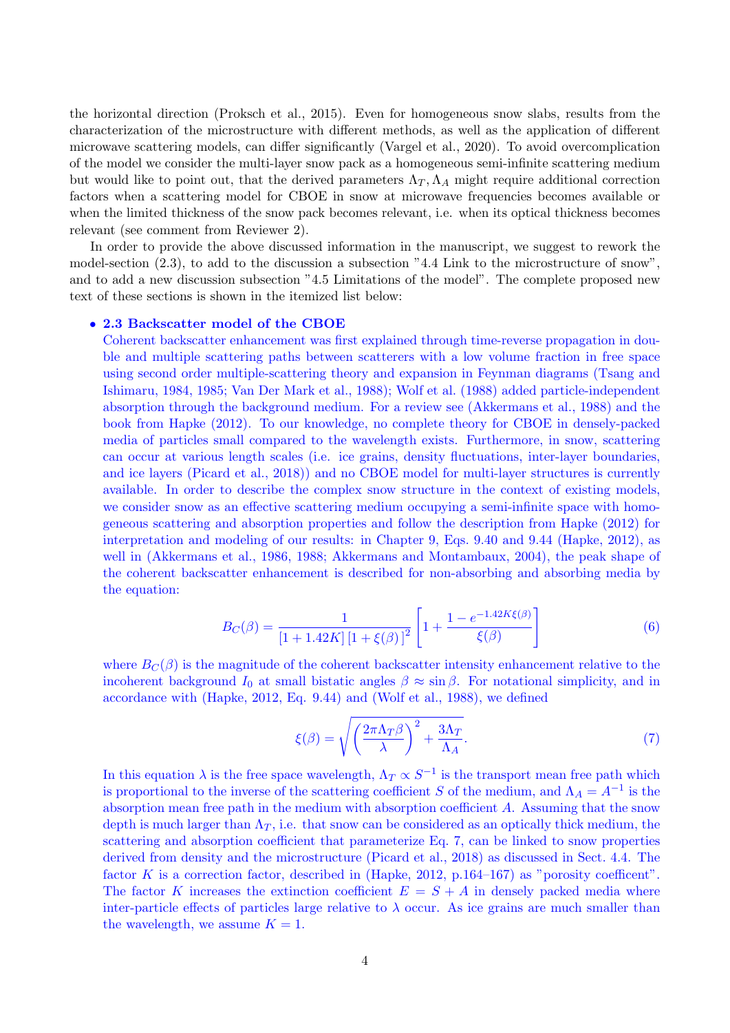the horizontal direction (Proksch et al., 2015). Even for homogeneous snow slabs, results from the characterization of the microstructure with different methods, as well as the application of different microwave scattering models, can differ significantly (Vargel et al., 2020). To avoid overcomplication of the model we consider the multi-layer snow pack as a homogeneous semi-infinite scattering medium but would like to point out, that the derived parameters  $\Lambda_T$ ,  $\Lambda_A$  might require additional correction factors when a scattering model for CBOE in snow at microwave frequencies becomes available or when the limited thickness of the snow pack becomes relevant, i.e. when its optical thickness becomes relevant (see comment from Reviewer 2).

In order to provide the above discussed information in the manuscript, we suggest to rework the model-section (2.3), to add to the discussion a subsection "4.4 Link to the microstructure of snow", and to add a new discussion subsection "4.5 Limitations of the model". The complete proposed new text of these sections is shown in the itemized list below:

#### • 2.3 Backscatter model of the CBOE

Coherent backscatter enhancement was first explained through time-reverse propagation in double and multiple scattering paths between scatterers with a low volume fraction in free space using second order multiple-scattering theory and expansion in Feynman diagrams (Tsang and Ishimaru, 1984, 1985; Van Der Mark et al., 1988); Wolf et al. (1988) added particle-independent absorption through the background medium. For a review see (Akkermans et al., 1988) and the book from Hapke (2012). To our knowledge, no complete theory for CBOE in densely-packed media of particles small compared to the wavelength exists. Furthermore, in snow, scattering can occur at various length scales (i.e. ice grains, density fluctuations, inter-layer boundaries, and ice layers (Picard et al., 2018)) and no CBOE model for multi-layer structures is currently available. In order to describe the complex snow structure in the context of existing models, we consider snow as an effective scattering medium occupying a semi-infinite space with homogeneous scattering and absorption properties and follow the description from Hapke (2012) for interpretation and modeling of our results: in Chapter 9, Eqs. 9.40 and 9.44 (Hapke, 2012), as well in (Akkermans et al., 1986, 1988; Akkermans and Montambaux, 2004), the peak shape of the coherent backscatter enhancement is described for non-absorbing and absorbing media by the equation:

$$
B_C(\beta) = \frac{1}{\left[1 + 1.42K\right] \left[1 + \xi(\beta)\right]^2} \left[1 + \frac{1 - e^{-1.42K\xi(\beta)}}{\xi(\beta)}\right]
$$
(6)

where  $B_C(\beta)$  is the magnitude of the coherent backscatter intensity enhancement relative to the incoherent background  $I_0$  at small bistatic angles  $\beta \approx \sin \beta$ . For notational simplicity, and in accordance with (Hapke, 2012, Eq. 9.44) and (Wolf et al., 1988), we defined

$$
\xi(\beta) = \sqrt{\left(\frac{2\pi\Lambda_T\beta}{\lambda}\right)^2 + \frac{3\Lambda_T}{\Lambda_A}}.\tag{7}
$$

In this equation  $\lambda$  is the free space wavelength,  $\Lambda_T \propto S^{-1}$  is the transport mean free path which is proportional to the inverse of the scattering coefficient S of the medium, and  $\Lambda_A = A^{-1}$  is the absorption mean free path in the medium with absorption coefficient A. Assuming that the snow depth is much larger than  $\Lambda_T$ , i.e. that snow can be considered as an optically thick medium, the scattering and absorption coefficient that parameterize Eq. 7, can be linked to snow properties derived from density and the microstructure (Picard et al., 2018) as discussed in Sect. 4.4. The factor K is a correction factor, described in (Hapke, 2012,  $p.164-167$ ) as "porosity coefficent". The factor K increases the extinction coefficient  $E = S + A$  in densely packed media where inter-particle effects of particles large relative to  $\lambda$  occur. As ice grains are much smaller than the wavelength, we assume  $K = 1$ .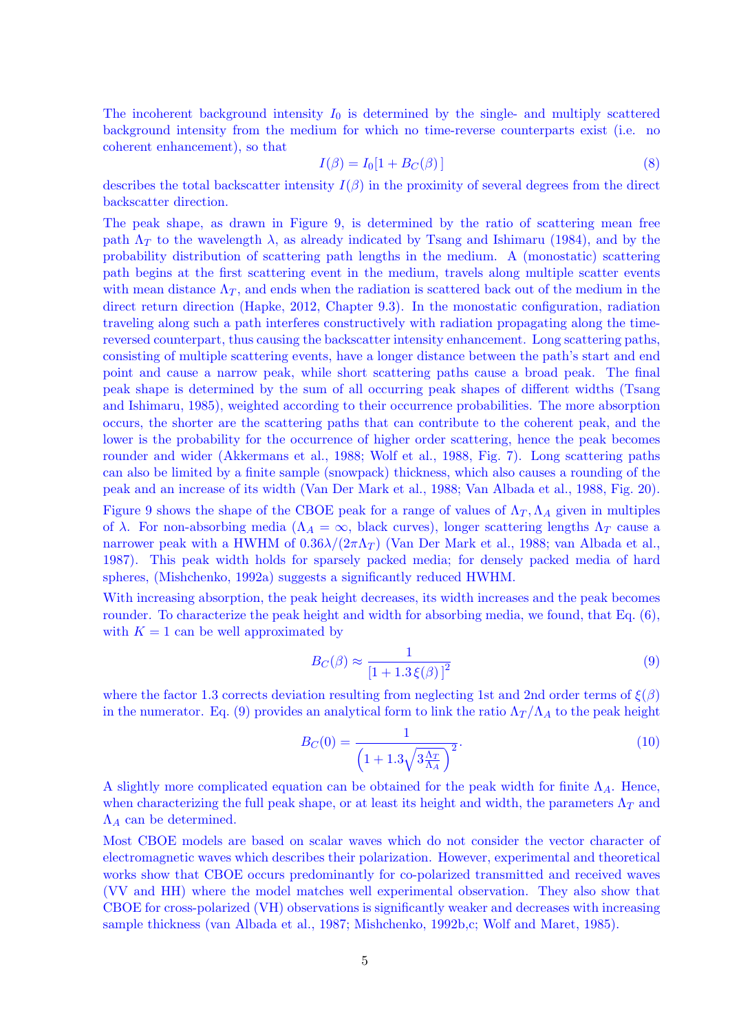The incoherent background intensity  $I_0$  is determined by the single- and multiply scattered background intensity from the medium for which no time-reverse counterparts exist (i.e. no coherent enhancement), so that

$$
I(\beta) = I_0[1 + B_C(\beta)] \tag{8}
$$

describes the total backscatter intensity  $I(\beta)$  in the proximity of several degrees from the direct backscatter direction.

The peak shape, as drawn in Figure 9, is determined by the ratio of scattering mean free path  $\Lambda_T$  to the wavelength  $\lambda$ , as already indicated by Tsang and Ishimaru (1984), and by the probability distribution of scattering path lengths in the medium. A (monostatic) scattering path begins at the first scattering event in the medium, travels along multiple scatter events with mean distance  $\Lambda_T$ , and ends when the radiation is scattered back out of the medium in the direct return direction (Hapke, 2012, Chapter 9.3). In the monostatic configuration, radiation traveling along such a path interferes constructively with radiation propagating along the timereversed counterpart, thus causing the backscatter intensity enhancement. Long scattering paths, consisting of multiple scattering events, have a longer distance between the path's start and end point and cause a narrow peak, while short scattering paths cause a broad peak. The final peak shape is determined by the sum of all occurring peak shapes of different widths (Tsang and Ishimaru, 1985), weighted according to their occurrence probabilities. The more absorption occurs, the shorter are the scattering paths that can contribute to the coherent peak, and the lower is the probability for the occurrence of higher order scattering, hence the peak becomes rounder and wider (Akkermans et al., 1988; Wolf et al., 1988, Fig. 7). Long scattering paths can also be limited by a finite sample (snowpack) thickness, which also causes a rounding of the peak and an increase of its width (Van Der Mark et al., 1988; Van Albada et al., 1988, Fig. 20).

Figure 9 shows the shape of the CBOE peak for a range of values of  $\Lambda_T$ ,  $\Lambda_A$  given in multiples of  $\lambda$ . For non-absorbing media ( $\Lambda_A = \infty$ , black curves), longer scattering lengths  $\Lambda_T$  cause a narrower peak with a HWHM of  $0.36\lambda/(2\pi\Lambda_T)$  (Van Der Mark et al., 1988; van Albada et al., 1987). This peak width holds for sparsely packed media; for densely packed media of hard spheres, (Mishchenko, 1992a) suggests a significantly reduced HWHM.

With increasing absorption, the peak height decreases, its width increases and the peak becomes rounder. To characterize the peak height and width for absorbing media, we found, that Eq. (6), with  $K = 1$  can be well approximated by

$$
B_C(\beta) \approx \frac{1}{\left[1 + 1.3\,\xi(\beta)\right]^2} \tag{9}
$$

where the factor 1.3 corrects deviation resulting from neglecting 1st and 2nd order terms of  $\xi(\beta)$ in the numerator. Eq. (9) provides an analytical form to link the ratio  $\Lambda_T/\Lambda_A$  to the peak height

$$
B_C(0) = \frac{1}{\left(1 + 1.3\sqrt{3\frac{\Lambda_T}{\Lambda_A}}\right)^2}.
$$
\n(10)

A slightly more complicated equation can be obtained for the peak width for finite  $\Lambda_A$ . Hence, when characterizing the full peak shape, or at least its height and width, the parameters  $\Lambda_T$  and  $\Lambda_A$  can be determined.

Most CBOE models are based on scalar waves which do not consider the vector character of electromagnetic waves which describes their polarization. However, experimental and theoretical works show that CBOE occurs predominantly for co-polarized transmitted and received waves (VV and HH) where the model matches well experimental observation. They also show that CBOE for cross-polarized (VH) observations is significantly weaker and decreases with increasing sample thickness (van Albada et al., 1987; Mishchenko, 1992b,c; Wolf and Maret, 1985).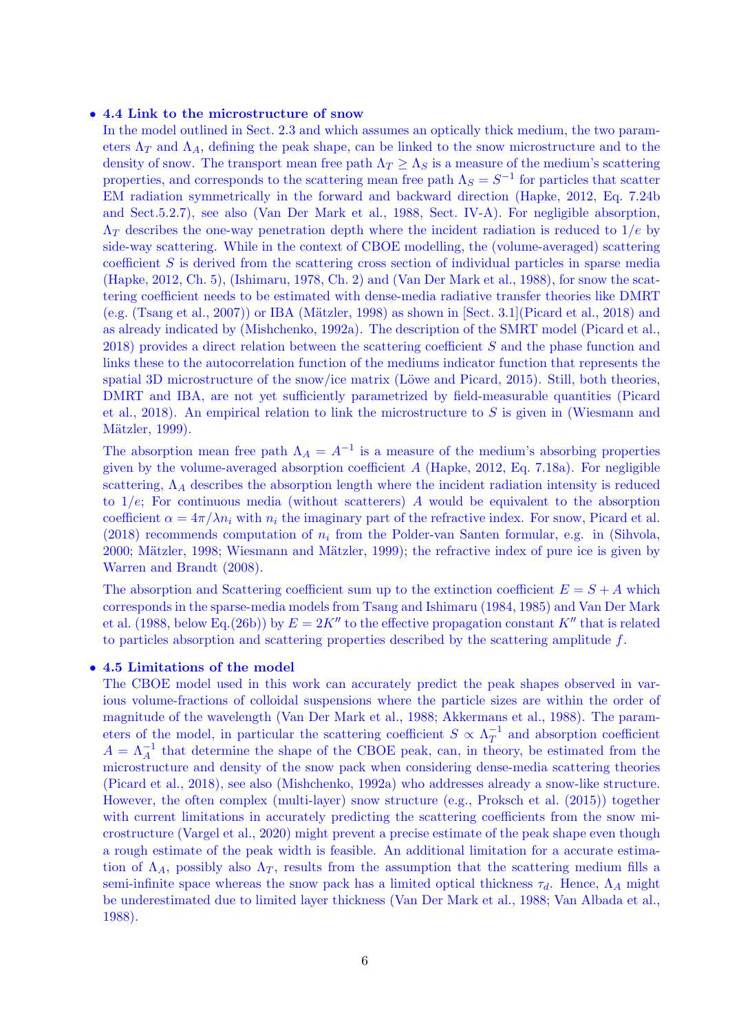### • 4.4 Link to the microstructure of snow

In the model outlined in Sect. 2.3 and which assumes an optically thick medium, the two parameters  $\Lambda_T$  and  $\Lambda_A$ , defining the peak shape, can be linked to the snow microstructure and to the density of snow. The transport mean free path  $\Lambda_T \geq \Lambda_S$  is a measure of the medium's scattering properties, and corresponds to the scattering mean free path  $\Lambda_S = S^{-1}$  for particles that scatter EM radiation symmetrically in the forward and backward direction (Hapke, 2012, Eq. 7.24b and Sect.5.2.7), see also (Van Der Mark et al., 1988, Sect. IV-A). For negligible absorption,  $\Lambda_T$  describes the one-way penetration depth where the incident radiation is reduced to  $1/e$  by side-way scattering. While in the context of CBOE modelling, the (volume-averaged) scattering coefficient S is derived from the scattering cross section of individual particles in sparse media (Hapke, 2012, Ch. 5), (Ishimaru, 1978, Ch. 2) and (Van Der Mark et al., 1988), for snow the scattering coefficient needs to be estimated with dense-media radiative transfer theories like DMRT (e.g. (Tsang et al., 2007)) or IBA (Mätzler, 1998) as shown in [Sect. 3.1] (Picard et al., 2018) and as already indicated by (Mishchenko, 1992a). The description of the SMRT model (Picard et al., 2018) provides a direct relation between the scattering coefficient S and the phase function and links these to the autocorrelation function of the mediums indicator function that represents the spatial 3D microstructure of the snow/ice matrix (Löwe and Picard, 2015). Still, both theories, DMRT and IBA, are not yet sufficiently parametrized by field-measurable quantities (Picard et al., 2018). An empirical relation to link the microstructure to S is given in (Wiesmann and Mätzler, 1999).

The absorption mean free path  $\Lambda_A = A^{-1}$  is a measure of the medium's absorbing properties given by the volume-averaged absorption coefficient  $A$  (Hapke, 2012, Eq. 7.18a). For negligible scattering,  $\Lambda_A$  describes the absorption length where the incident radiation intensity is reduced to  $1/e$ ; For continuous media (without scatterers) A would be equivalent to the absorption coefficient  $\alpha = 4\pi/\lambda n_i$  with  $n_i$  the imaginary part of the refractive index. For snow, Picard et al. (2018) recommends computation of  $n_i$  from the Polder-van Santen formular, e.g. in (Sihvola, 2000; Mätzler, 1998; Wiesmann and Mätzler, 1999); the refractive index of pure ice is given by Warren and Brandt (2008).

The absorption and Scattering coefficient sum up to the extinction coefficient  $E = S + A$  which corresponds in the sparse-media models from Tsang and Ishimaru (1984, 1985) and Van Der Mark et al. (1988, below Eq.(26b)) by  $E = 2K''$  to the effective propagation constant K<sup>n</sup> that is related to particles absorption and scattering properties described by the scattering amplitude f.

### • 4.5 Limitations of the model

The CBOE model used in this work can accurately predict the peak shapes observed in various volume-fractions of colloidal suspensions where the particle sizes are within the order of magnitude of the wavelength (Van Der Mark et al., 1988; Akkermans et al., 1988). The parameters of the model, in particular the scattering coefficient  $S \propto \Lambda_T^{-1}$  $\overline{T}^1$  and absorption coefficient  $A = \Lambda_A^{-1}$  that determine the shape of the CBOE peak, can, in theory, be estimated from the microstructure and density of the snow pack when considering dense-media scattering theories (Picard et al., 2018), see also (Mishchenko, 1992a) who addresses already a snow-like structure. However, the often complex (multi-layer) snow structure (e.g., Proksch et al. (2015)) together with current limitations in accurately predicting the scattering coefficients from the snow microstructure (Vargel et al., 2020) might prevent a precise estimate of the peak shape even though a rough estimate of the peak width is feasible. An additional limitation for a accurate estimation of  $\Lambda_A$ , possibly also  $\Lambda_T$ , results from the assumption that the scattering medium fills a semi-infinite space whereas the snow pack has a limited optical thickness  $\tau_d$ . Hence,  $\Lambda_A$  might be underestimated due to limited layer thickness (Van Der Mark et al., 1988; Van Albada et al., 1988).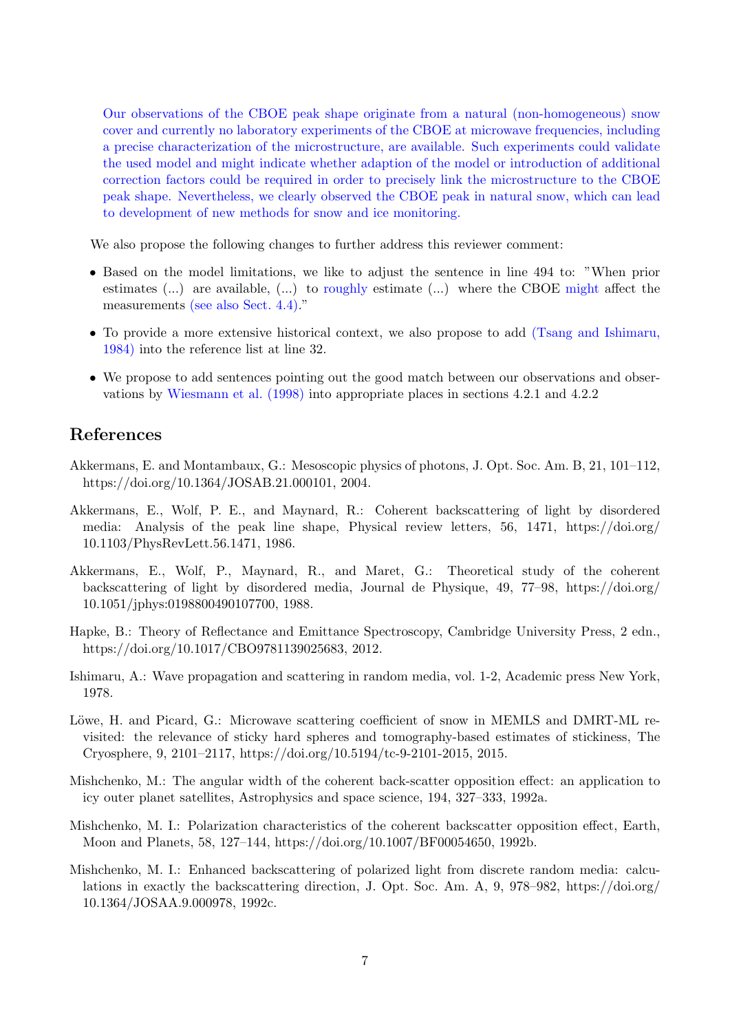Our observations of the CBOE peak shape originate from a natural (non-homogeneous) snow cover and currently no laboratory experiments of the CBOE at microwave frequencies, including a precise characterization of the microstructure, are available. Such experiments could validate the used model and might indicate whether adaption of the model or introduction of additional correction factors could be required in order to precisely link the microstructure to the CBOE peak shape. Nevertheless, we clearly observed the CBOE peak in natural snow, which can lead to development of new methods for snow and ice monitoring.

We also propose the following changes to further address this reviewer comment:

- Based on the model limitations, we like to adjust the sentence in line 494 to: "When prior estimates (...) are available, (...) to roughly estimate (...) where the CBOE might affect the measurements (see also Sect. 4.4)."
- To provide a more extensive historical context, we also propose to add (Tsang and Ishimaru, 1984) into the reference list at line 32.
- We propose to add sentences pointing out the good match between our observations and observations by Wiesmann et al. (1998) into appropriate places in sections 4.2.1 and 4.2.2

# References

- Akkermans, E. and Montambaux, G.: Mesoscopic physics of photons, J. Opt. Soc. Am. B, 21, 101–112, https://doi.org/10.1364/JOSAB.21.000101, 2004.
- Akkermans, E., Wolf, P. E., and Maynard, R.: Coherent backscattering of light by disordered media: Analysis of the peak line shape, Physical review letters, 56, 1471, https://doi.org/ 10.1103/PhysRevLett.56.1471, 1986.
- Akkermans, E., Wolf, P., Maynard, R., and Maret, G.: Theoretical study of the coherent backscattering of light by disordered media, Journal de Physique, 49, 77–98, https://doi.org/ 10.1051/jphys:0198800490107700, 1988.
- Hapke, B.: Theory of Reflectance and Emittance Spectroscopy, Cambridge University Press, 2 edn., https://doi.org/10.1017/CBO9781139025683, 2012.
- Ishimaru, A.: Wave propagation and scattering in random media, vol. 1-2, Academic press New York, 1978.
- Löwe, H. and Picard, G.: Microwave scattering coefficient of snow in MEMLS and DMRT-ML revisited: the relevance of sticky hard spheres and tomography-based estimates of stickiness, The Cryosphere, 9, 2101–2117, https://doi.org/10.5194/tc-9-2101-2015, 2015.
- Mishchenko, M.: The angular width of the coherent back-scatter opposition effect: an application to icy outer planet satellites, Astrophysics and space science, 194, 327–333, 1992a.
- Mishchenko, M. I.: Polarization characteristics of the coherent backscatter opposition effect, Earth, Moon and Planets, 58, 127–144, https://doi.org/10.1007/BF00054650, 1992b.
- Mishchenko, M. I.: Enhanced backscattering of polarized light from discrete random media: calculations in exactly the backscattering direction, J. Opt. Soc. Am. A, 9, 978–982, https://doi.org/ 10.1364/JOSAA.9.000978, 1992c.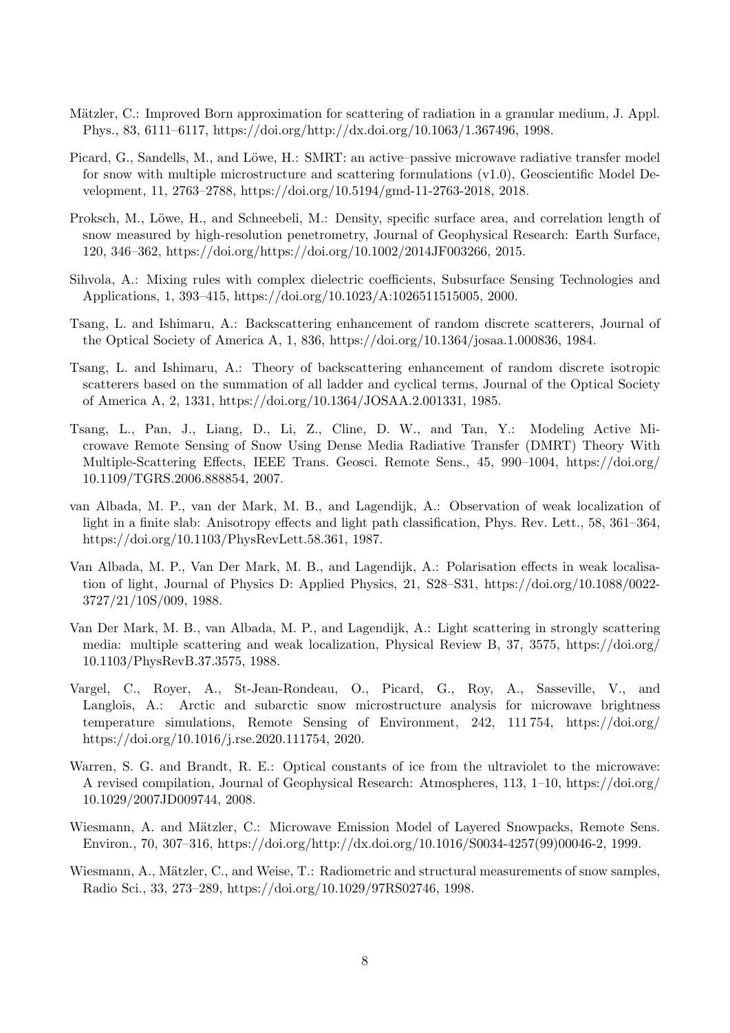- Mätzler, C.: Improved Born approximation for scattering of radiation in a granular medium, J. Appl. Phys., 83, 6111–6117, https://doi.org/http://dx.doi.org/10.1063/1.367496, 1998.
- Picard, G., Sandells, M., and Löwe, H.: SMRT: an active–passive microwave radiative transfer model for snow with multiple microstructure and scattering formulations (v1.0), Geoscientific Model Development, 11, 2763–2788, https://doi.org/10.5194/gmd-11-2763-2018, 2018.
- Proksch, M., Löwe, H., and Schneebeli, M.: Density, specific surface area, and correlation length of snow measured by high-resolution penetrometry, Journal of Geophysical Research: Earth Surface, 120, 346–362, https://doi.org/https://doi.org/10.1002/2014JF003266, 2015.
- Sihvola, A.: Mixing rules with complex dielectric coefficients, Subsurface Sensing Technologies and Applications, 1, 393–415, https://doi.org/10.1023/A:1026511515005, 2000.
- Tsang, L. and Ishimaru, A.: Backscattering enhancement of random discrete scatterers, Journal of the Optical Society of America A, 1, 836, https://doi.org/10.1364/josaa.1.000836, 1984.
- Tsang, L. and Ishimaru, A.: Theory of backscattering enhancement of random discrete isotropic scatterers based on the summation of all ladder and cyclical terms, Journal of the Optical Society of America A, 2, 1331, https://doi.org/10.1364/JOSAA.2.001331, 1985.
- Tsang, L., Pan, J., Liang, D., Li, Z., Cline, D. W., and Tan, Y.: Modeling Active Microwave Remote Sensing of Snow Using Dense Media Radiative Transfer (DMRT) Theory With Multiple-Scattering Effects, IEEE Trans. Geosci. Remote Sens., 45, 990–1004, https://doi.org/ 10.1109/TGRS.2006.888854, 2007.
- van Albada, M. P., van der Mark, M. B., and Lagendijk, A.: Observation of weak localization of light in a finite slab: Anisotropy effects and light path classification, Phys. Rev. Lett., 58, 361–364, https://doi.org/10.1103/PhysRevLett.58.361, 1987.
- Van Albada, M. P., Van Der Mark, M. B., and Lagendijk, A.: Polarisation effects in weak localisation of light, Journal of Physics D: Applied Physics, 21, S28–S31, https://doi.org/10.1088/0022- 3727/21/10S/009, 1988.
- Van Der Mark, M. B., van Albada, M. P., and Lagendijk, A.: Light scattering in strongly scattering media: multiple scattering and weak localization, Physical Review B, 37, 3575, https://doi.org/ 10.1103/PhysRevB.37.3575, 1988.
- Vargel, C., Royer, A., St-Jean-Rondeau, O., Picard, G., Roy, A., Sasseville, V., and Langlois, A.: Arctic and subarctic snow microstructure analysis for microwave brightness temperature simulations, Remote Sensing of Environment, 242, 111 754, https://doi.org/ https://doi.org/10.1016/j.rse.2020.111754, 2020.
- Warren, S. G. and Brandt, R. E.: Optical constants of ice from the ultraviolet to the microwave: A revised compilation, Journal of Geophysical Research: Atmospheres, 113, 1–10, https://doi.org/ 10.1029/2007JD009744, 2008.
- Wiesmann, A. and Mätzler, C.: Microwave Emission Model of Layered Snowpacks, Remote Sens. Environ., 70, 307–316, https://doi.org/http://dx.doi.org/10.1016/S0034-4257(99)00046-2, 1999.
- Wiesmann, A., Mätzler, C., and Weise, T.: Radiometric and structural measurements of snow samples, Radio Sci., 33, 273–289, https://doi.org/10.1029/97RS02746, 1998.